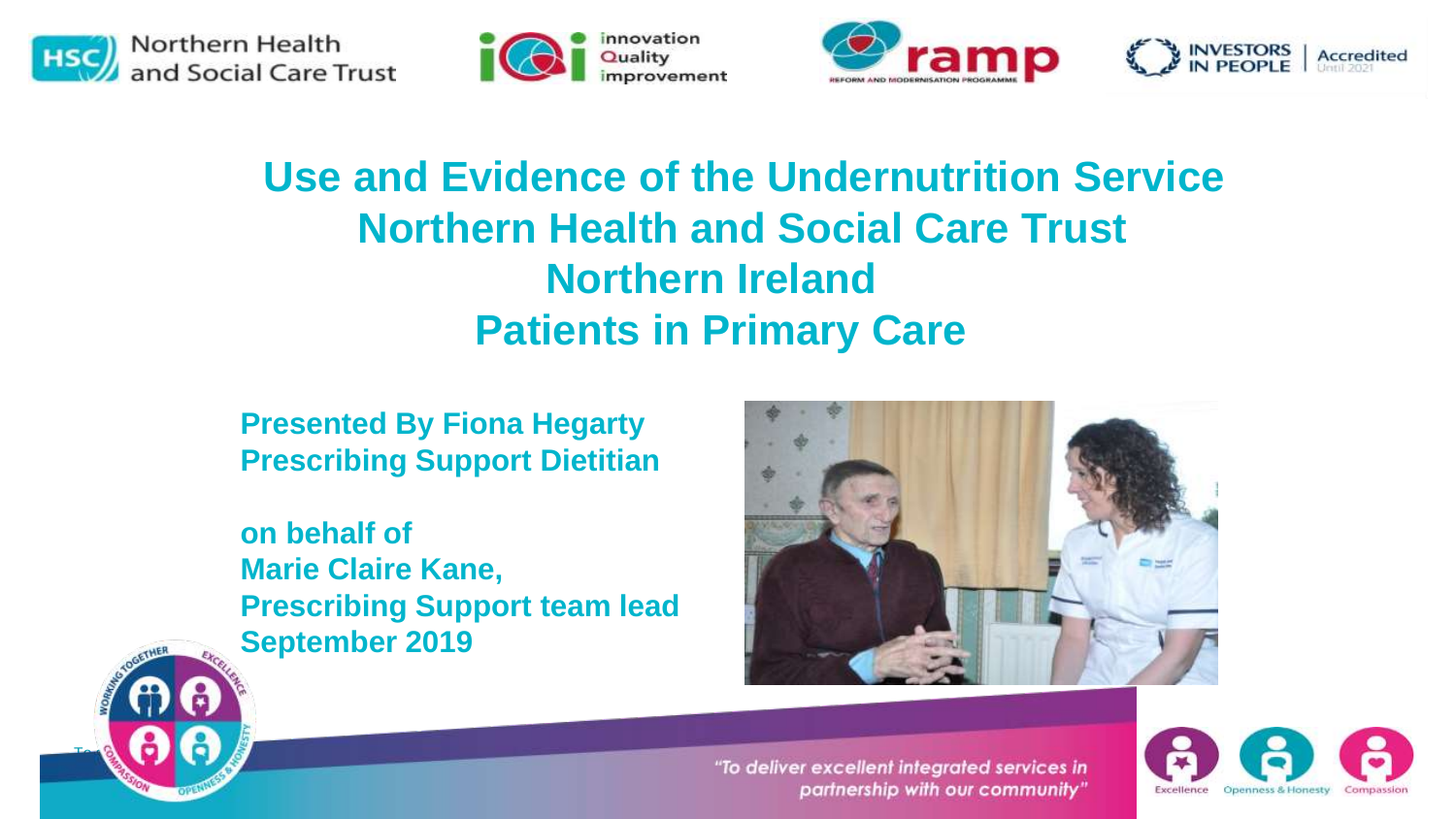

To deliver excellent integrated services in partnership in partnership in partnership in partnership in partnership in partnership in partnership in partnership in partnership in partnership in partnership in partnership i

with our community of  $\mathbb{R}$ 







#### **Use and Evidence of the Undernutrition Service Northern Health and Social Care Trust Northern Ireland Patients in Primary Care**

**Presented By Fiona Hegarty Prescribing Support Dietitian** 

**on behalf of Marie Claire Kane, Prescribing Support team lead September 2019**



"To deliver excellent integrated services in partnership with our community"

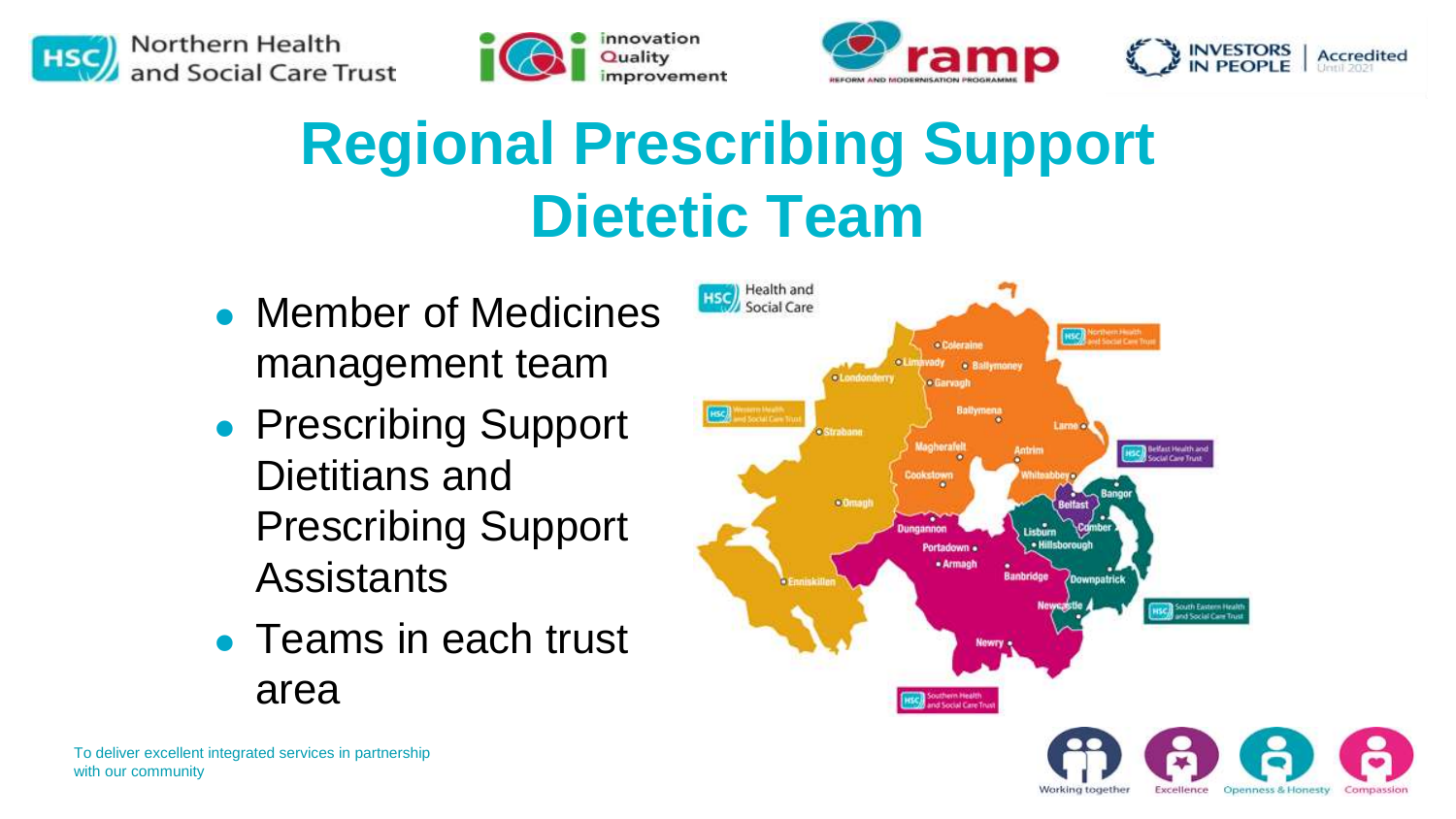







### **Regional Prescribing Support Dietetic Team**

- ⚫ Member of Medicines management team
- Prescribing Support Dietitians and Prescribing Support **Assistants**
- ⚫ Teams in each trust area



Warking together

Excellence

Openness & Honesty

Committed and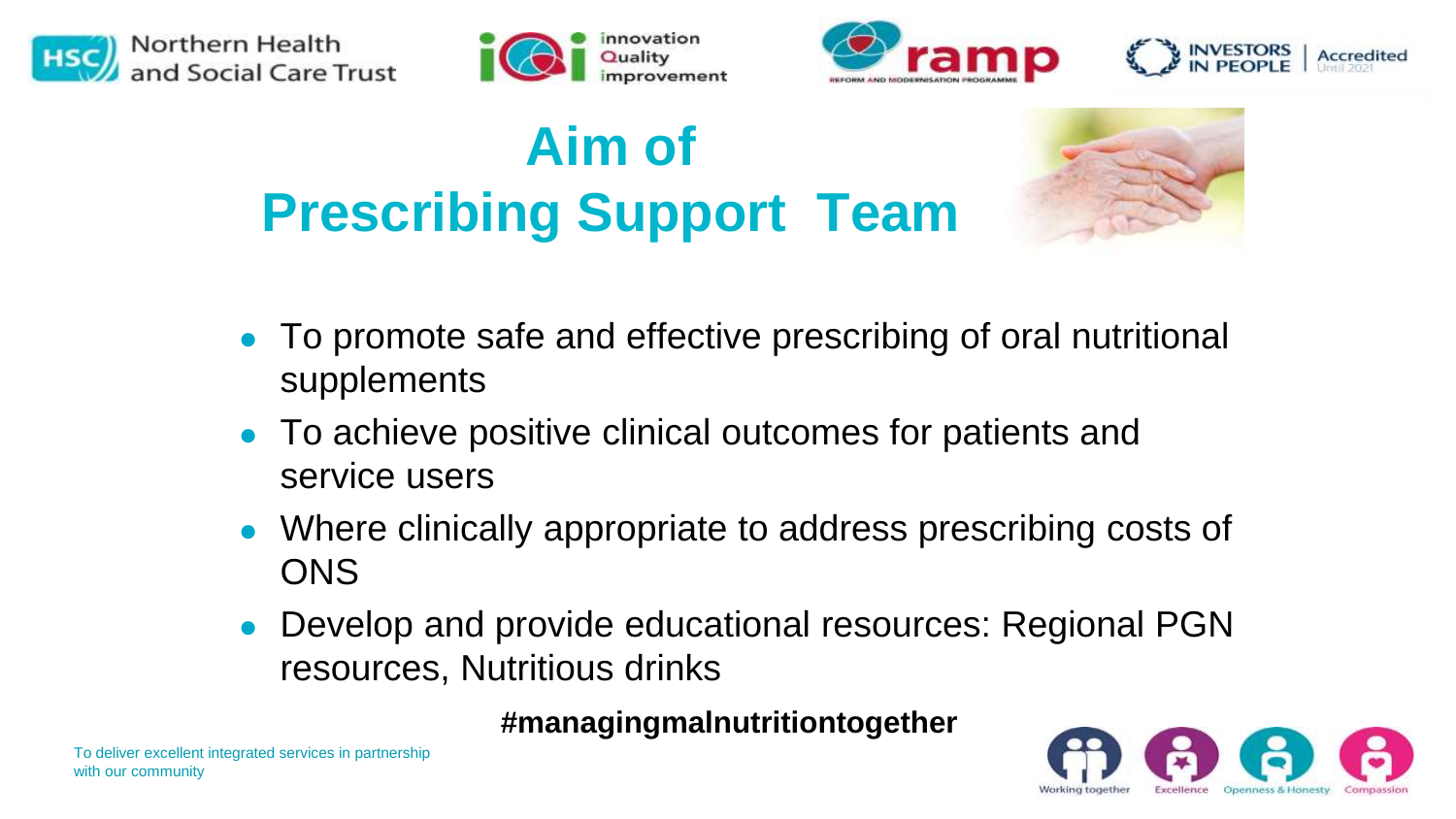







### **Aim of Prescribing Support Team**



- ⚫ To promote safe and effective prescribing of oral nutritional supplements
- ⚫ To achieve positive clinical outcomes for patients and service users
- ⚫ Where clinically appropriate to address prescribing costs of **ONS**
- ⚫ Develop and provide educational resources: Regional PGN resources, Nutritious drinks

#### **#managingmalnutritiontogether**

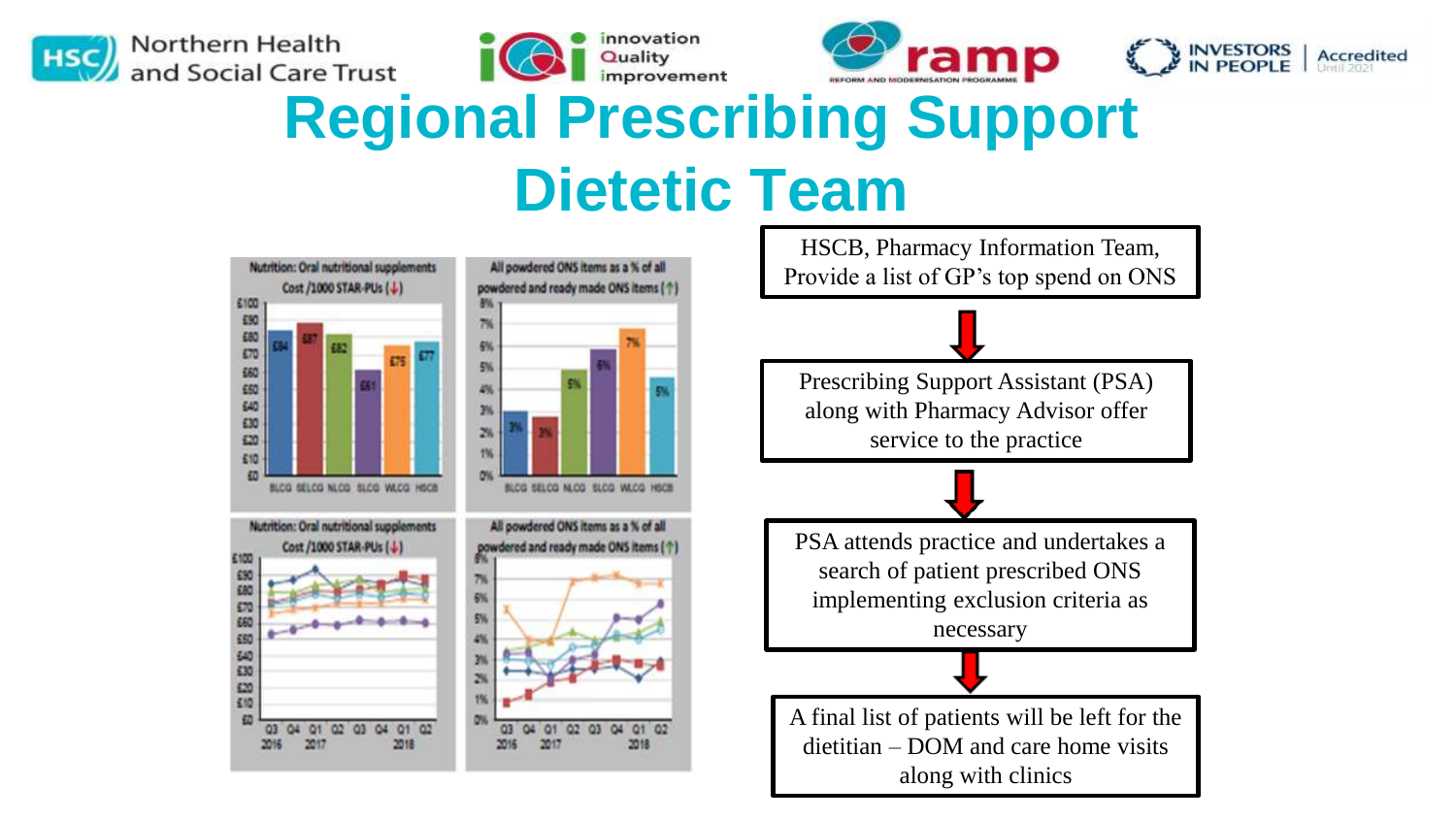

Northern Health and Social Care Trust







### **Regional Prescribing Support Dietetic Team**

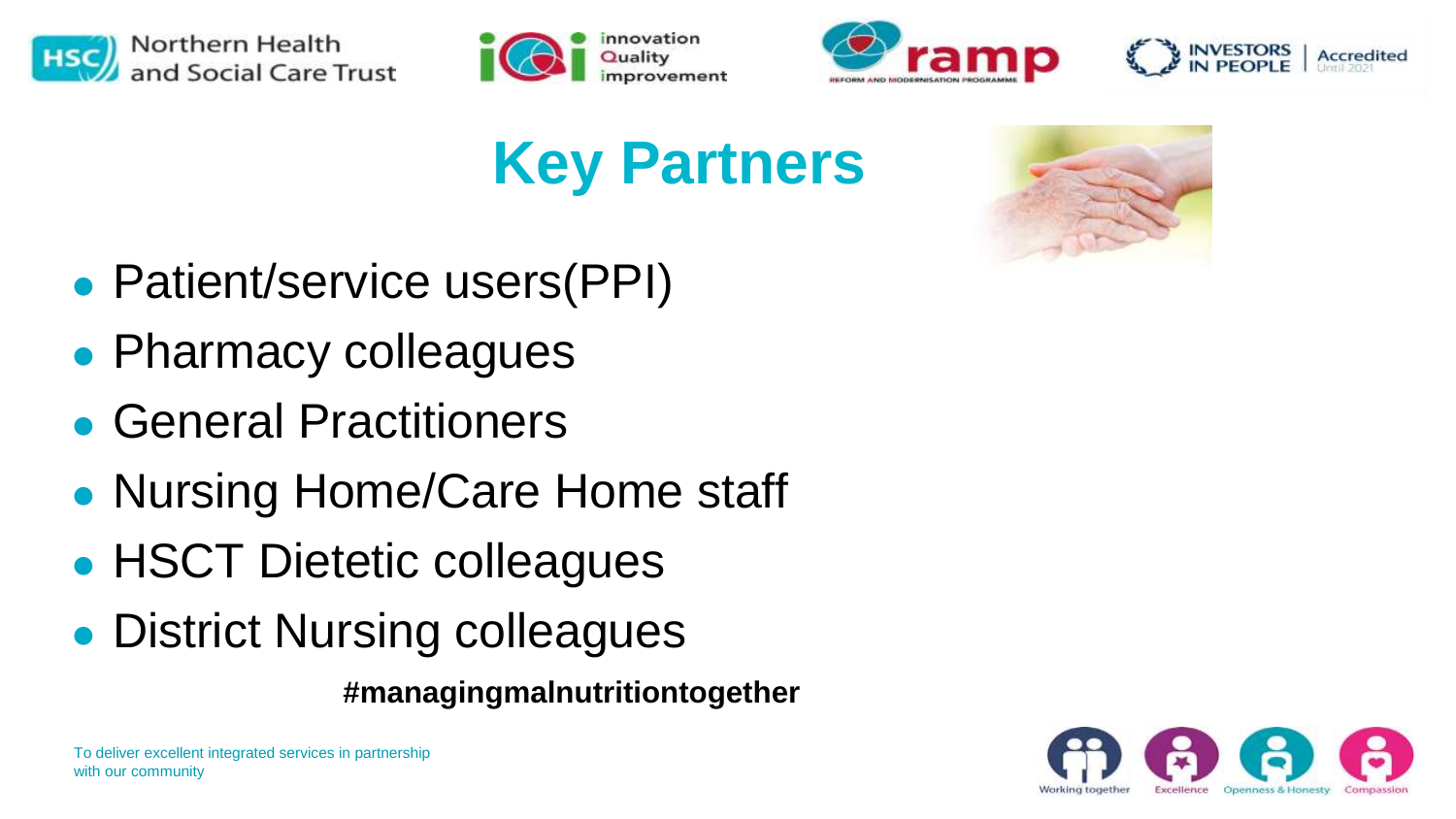







### **Key Partners**



- Patient/service users(PPI)
- ⚫ Pharmacy colleagues
- ⚫ General Practitioners
- ⚫ Nursing Home/Care Home staff
- ⚫ HSCT Dietetic colleagues
- ⚫ District Nursing colleagues

**#managingmalnutritiontogether**

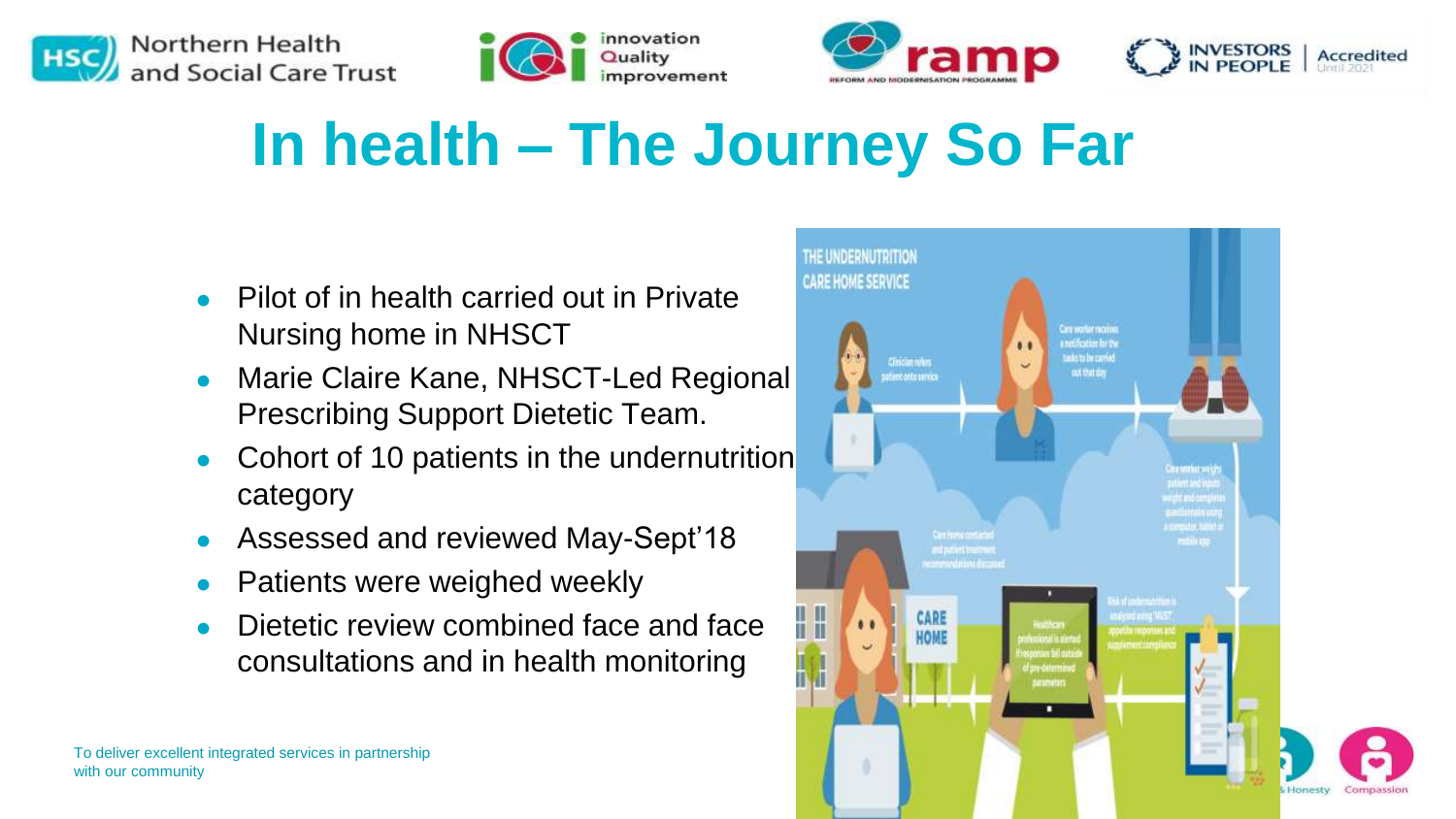







### **In health – The Journey So Far**

- ⚫ Pilot of in health carried out in Private Nursing home in NHSCT
- Marie Claire Kane, NHSCT-Led Regional Prescribing Support Dietetic Team.
- ⚫ Cohort of 10 patients in the undernutrition category
- ⚫ Assessed and reviewed May-Sept'18
- ⚫ Patients were weighed weekly
- Dietetic review combined face and face consultations and in health monitoring

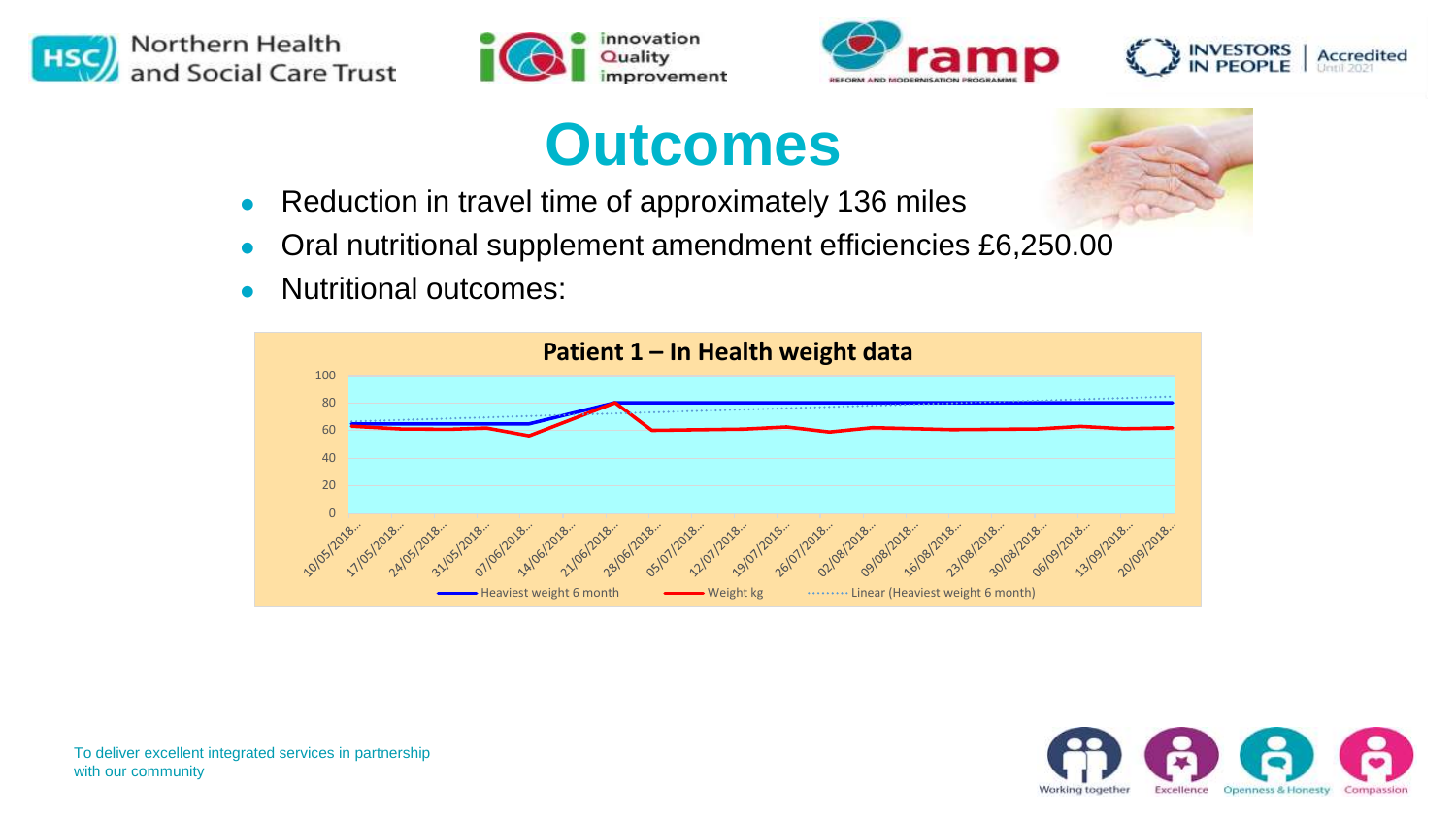







#### **Outcomes**

- Reduction in travel time of approximately 136 miles
- ⚫ Oral nutritional supplement amendment efficiencies £6,250.00
- ⚫ Nutritional outcomes:

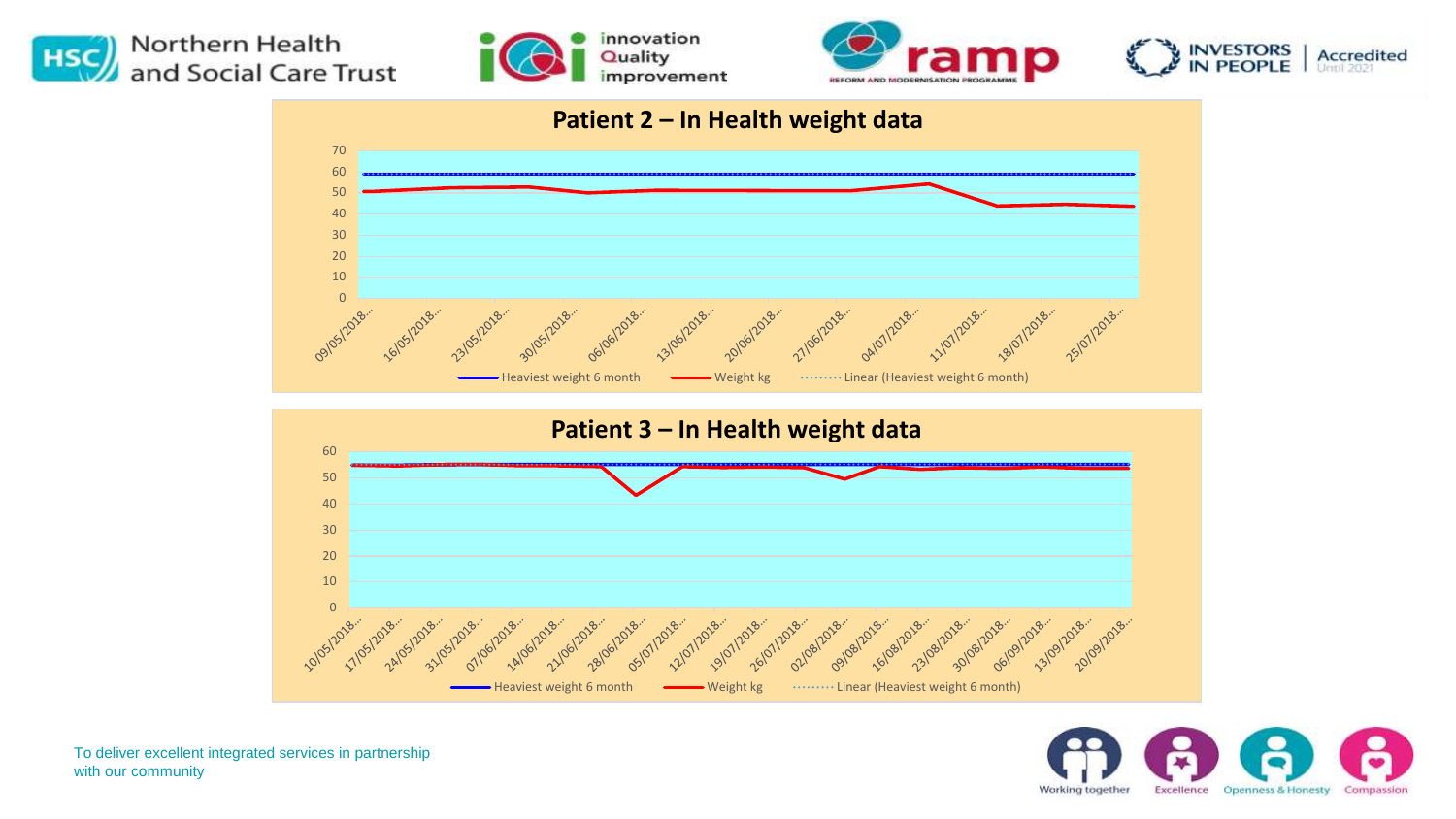







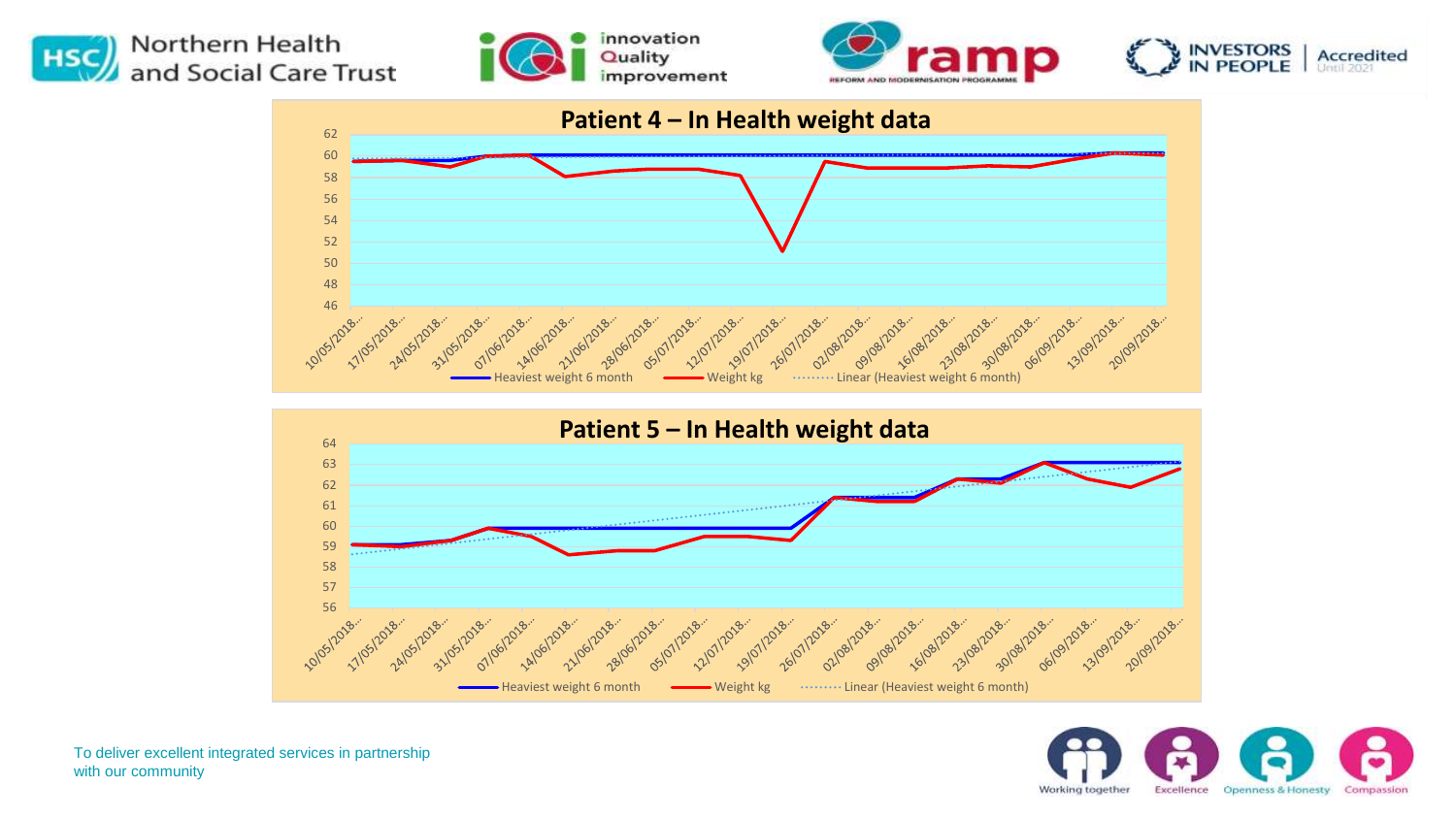











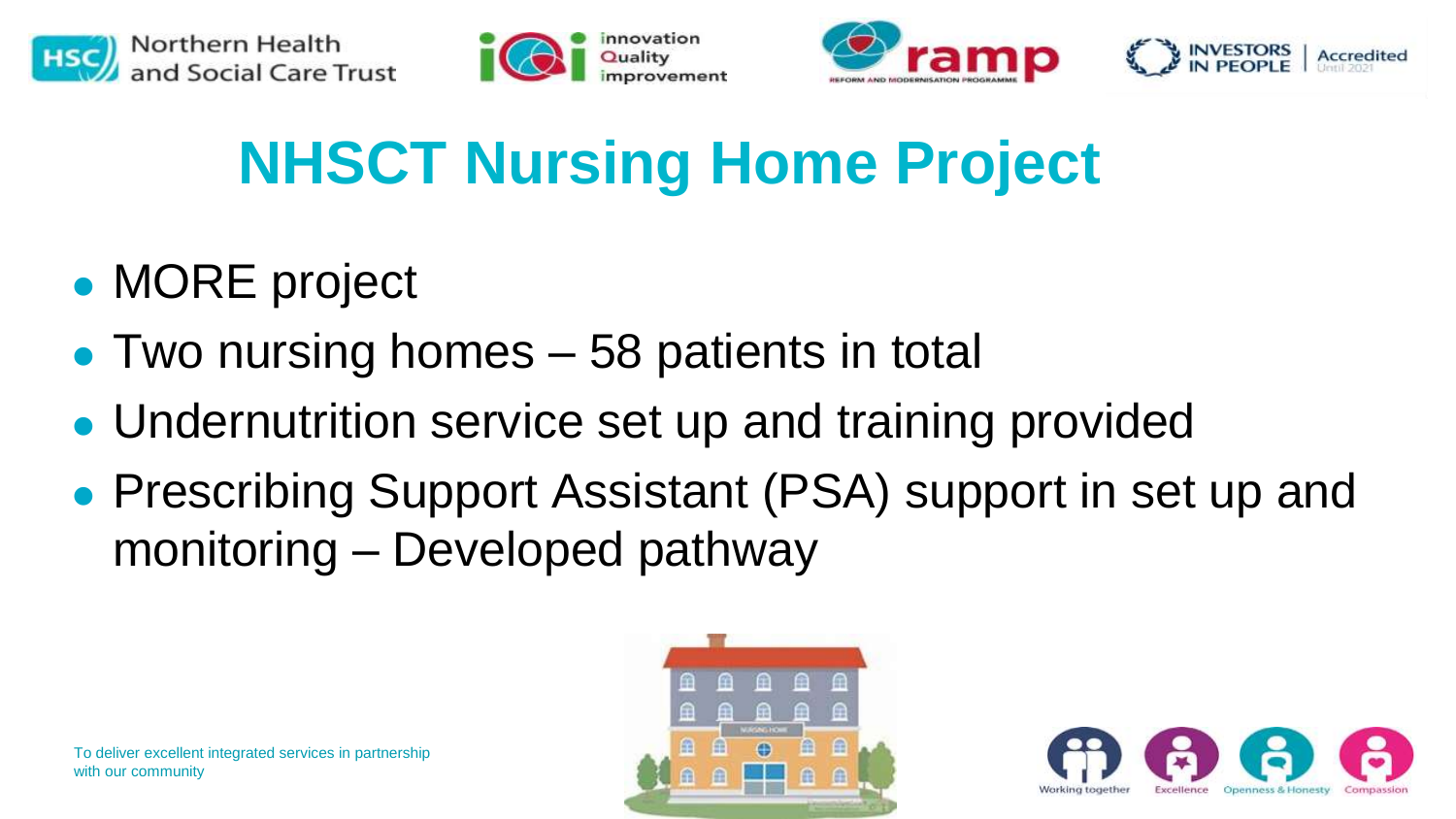







# **NHSCT Nursing Home Project**

- ⚫ MORE project
- Two nursing homes 58 patients in total
- ⚫ Undernutrition service set up and training provided
- ⚫ Prescribing Support Assistant (PSA) support in set up and monitoring – Developed pathway



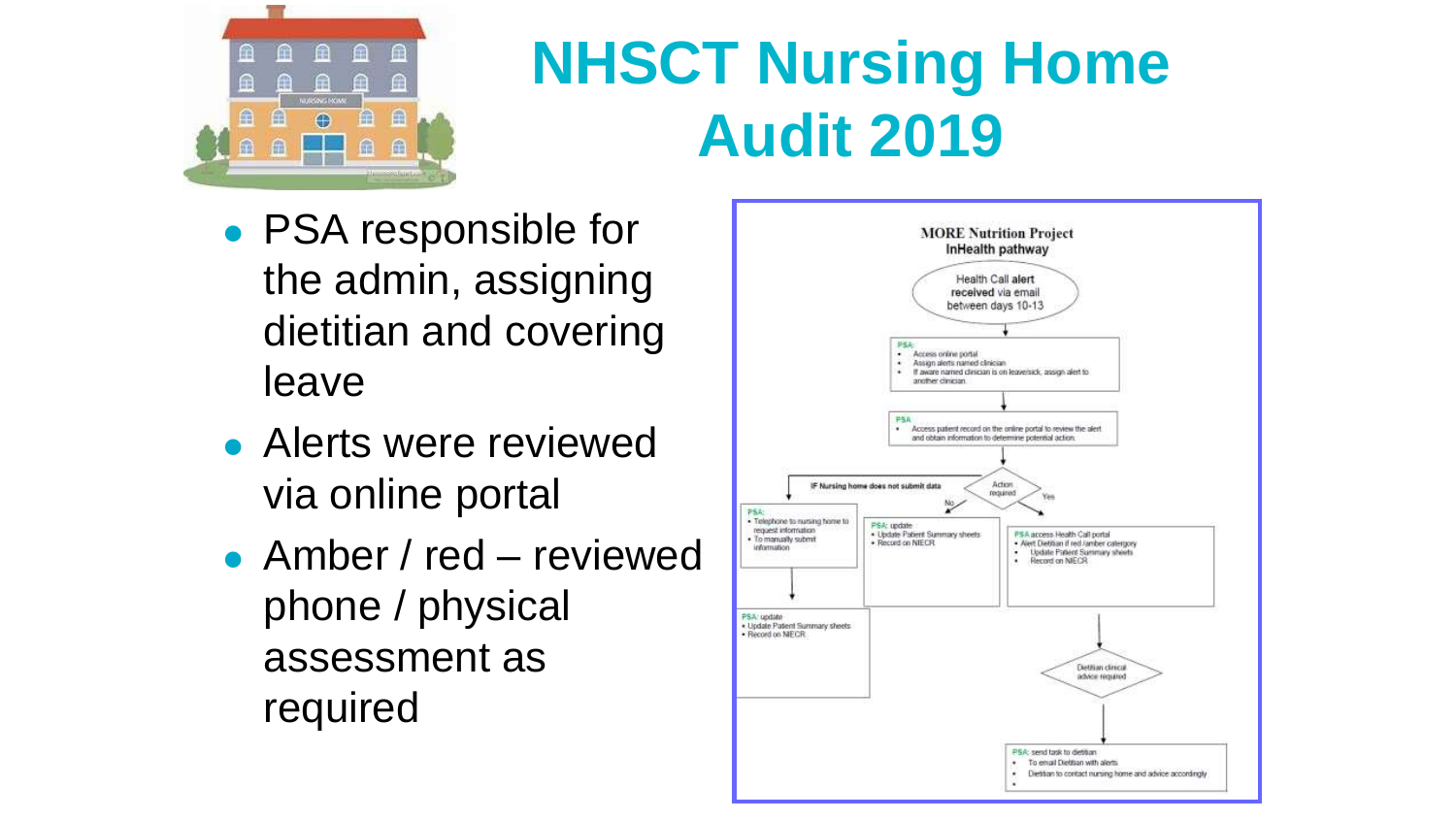

# **NHSCT Nursing Home Audit 2019**

- ⚫ PSA responsible for the admin, assigning dietitian and covering leave
- ⚫ Alerts were reviewed via online portal
- Amber / red reviewed phone / physical assessment as required

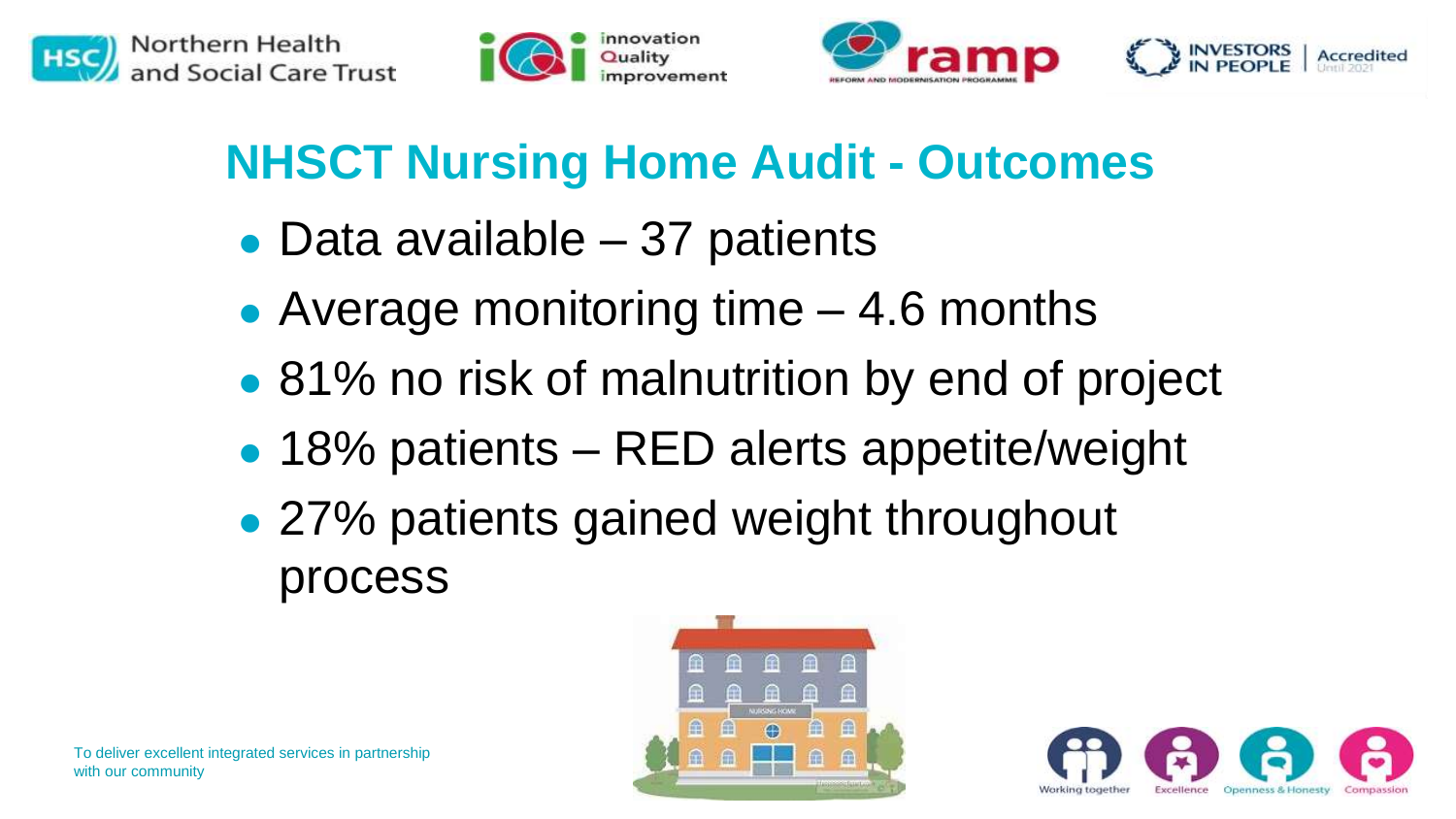







#### **NHSCT Nursing Home Audit - Outcomes**

- Data available 37 patients
- ⚫ Average monitoring time 4.6 months
- 81% no risk of malnutrition by end of project
- 18% patients RED alerts appetite/weight
- 27% patients gained weight throughout process



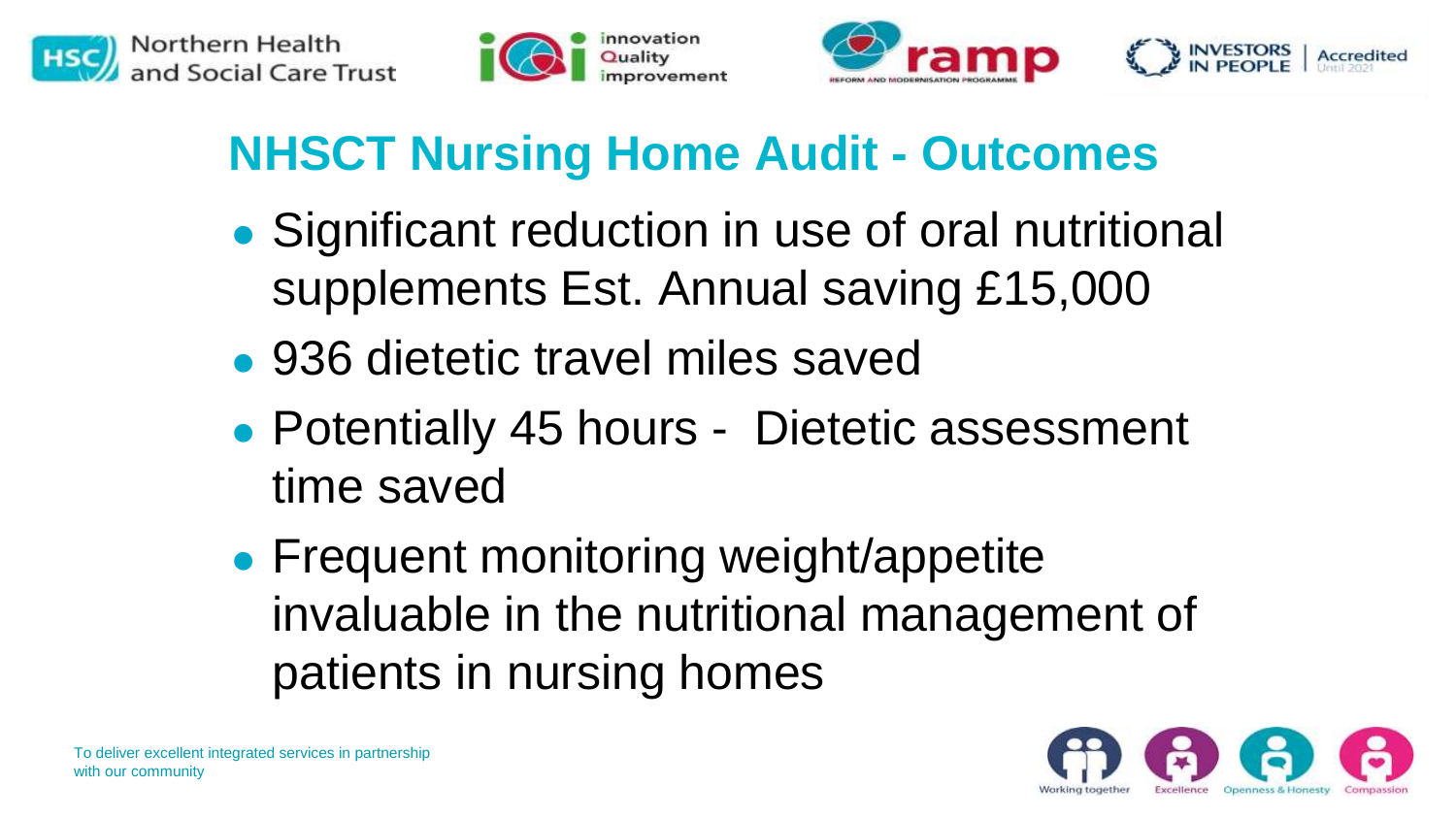







#### **NHSCT Nursing Home Audit - Outcomes**

- ⚫ Significant reduction in use of oral nutritional supplements Est. Annual saving £15,000
- ⚫ 936 dietetic travel miles saved
- ⚫ Potentially 45 hours Dietetic assessment time saved
- Frequent monitoring weight/appetite invaluable in the nutritional management of patients in nursing homes

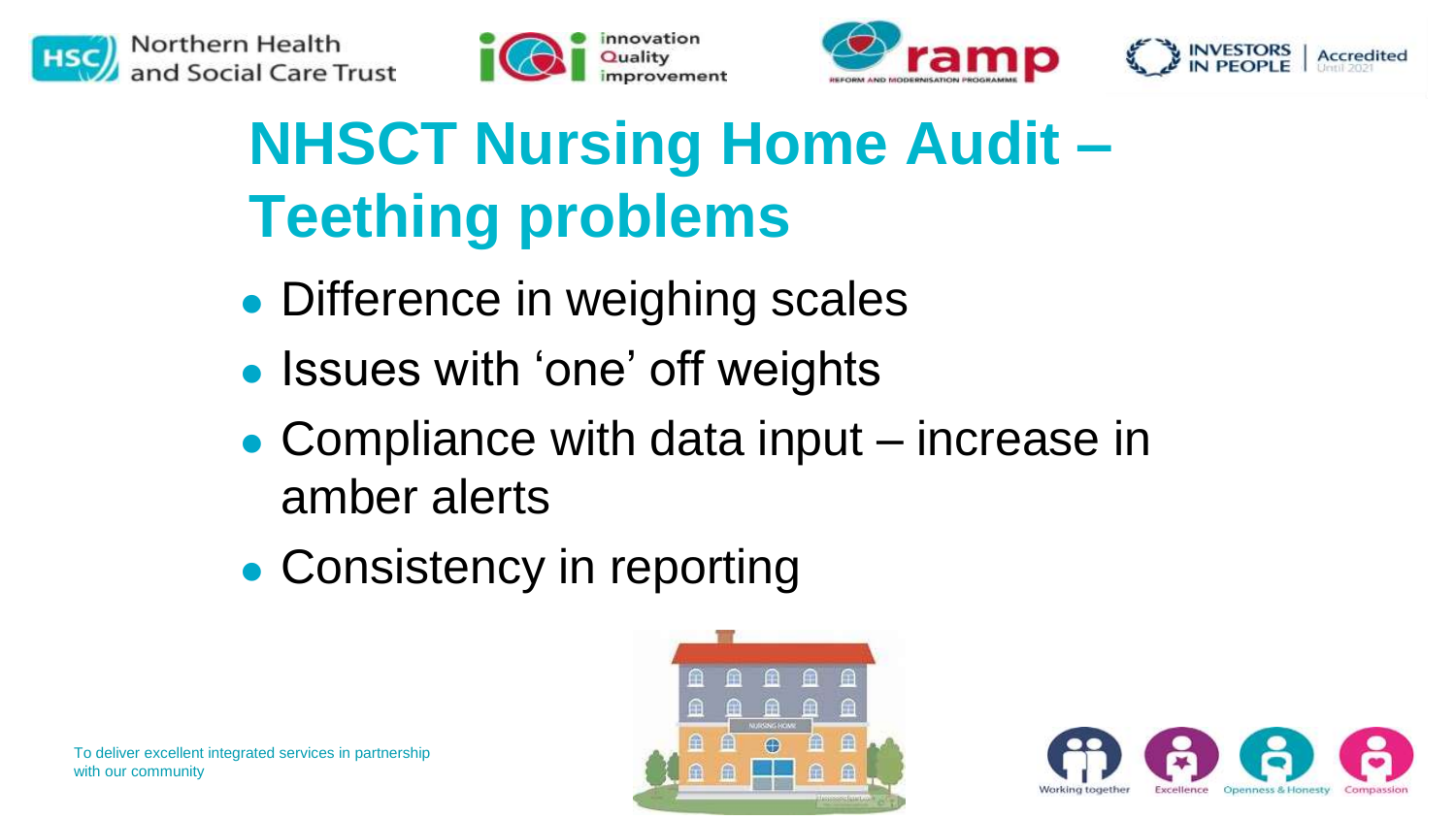







# **NHSCT Nursing Home Audit – Teething problems**

- ⚫ Difference in weighing scales
- Issues with 'one' off weights
- Compliance with data input increase in amber alerts
- ⚫ Consistency in reporting



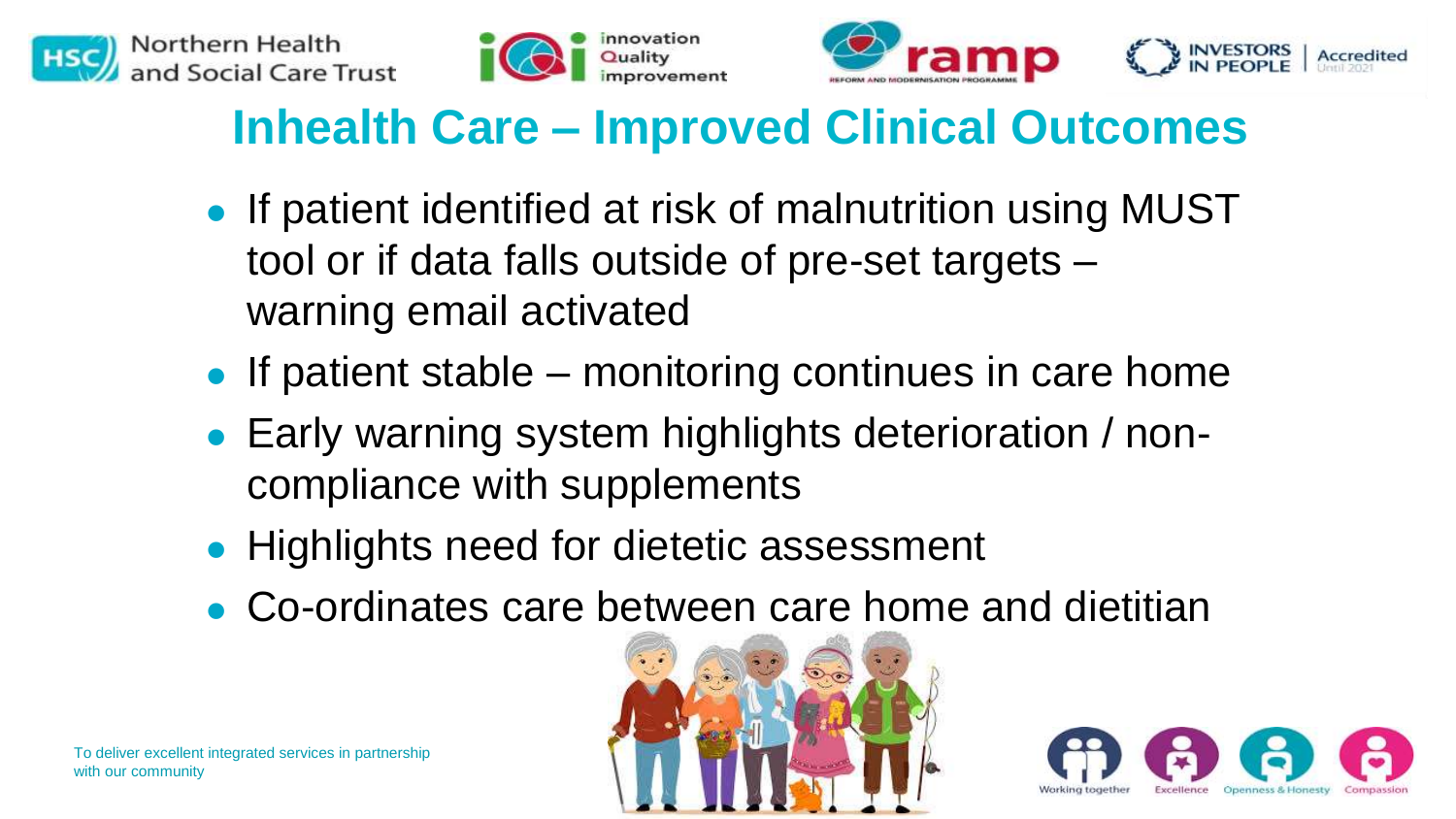







#### **Inhealth Care – Improved Clinical Outcomes**

- ⚫ If patient identified at risk of malnutrition using MUST tool or if data falls outside of pre-set targets – warning email activated
- If patient stable monitoring continues in care home
- ⚫ Early warning system highlights deterioration / noncompliance with supplements
- Highlights need for dietetic assessment
- ⚫ Co-ordinates care between care home and dietitian



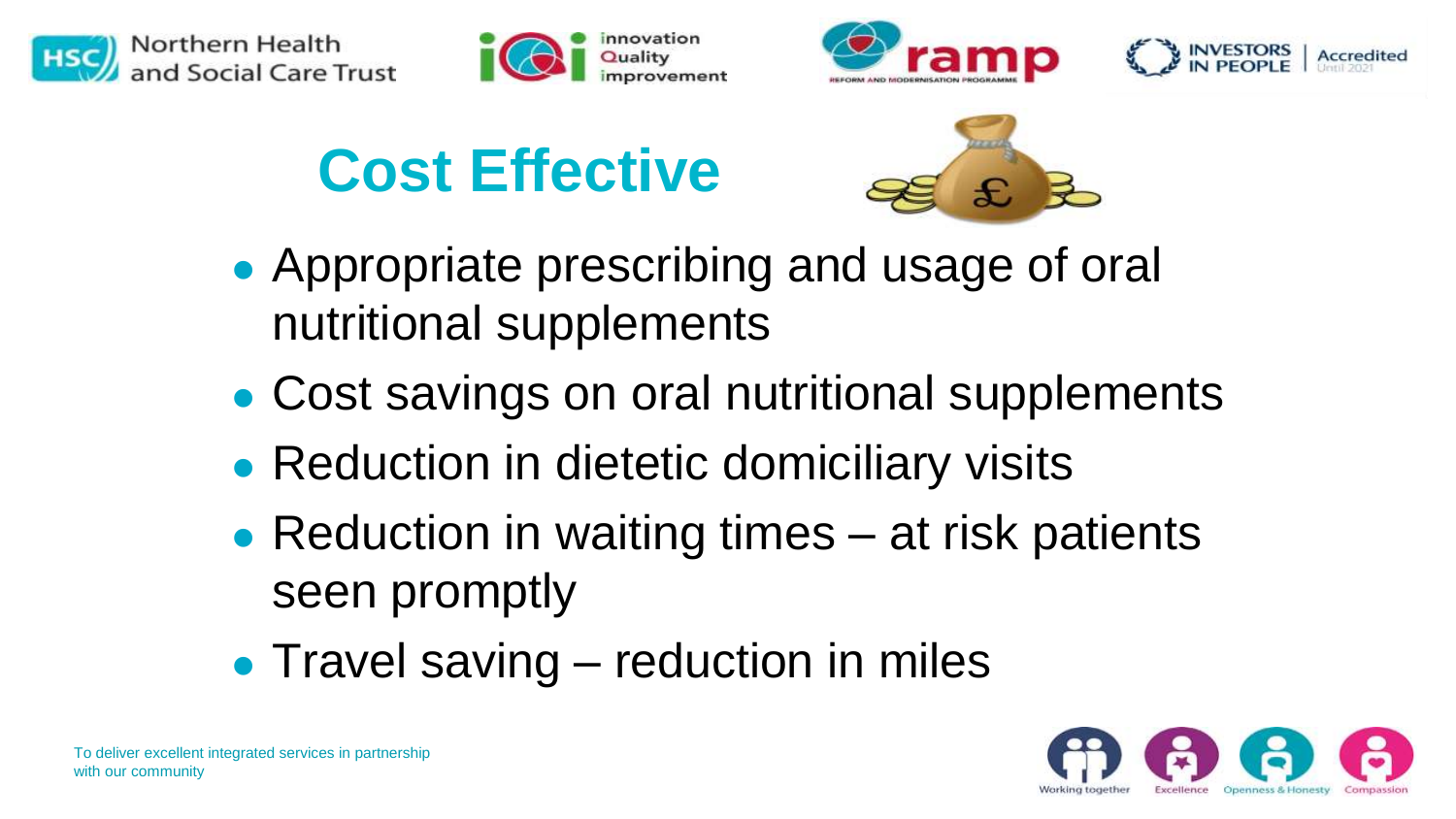







**Cost Effective**



- ⚫ Appropriate prescribing and usage of oral nutritional supplements
- ⚫ Cost savings on oral nutritional supplements
- Reduction in dietetic domiciliary visits
- Reduction in waiting times at risk patients seen promptly
- Travel saving reduction in miles

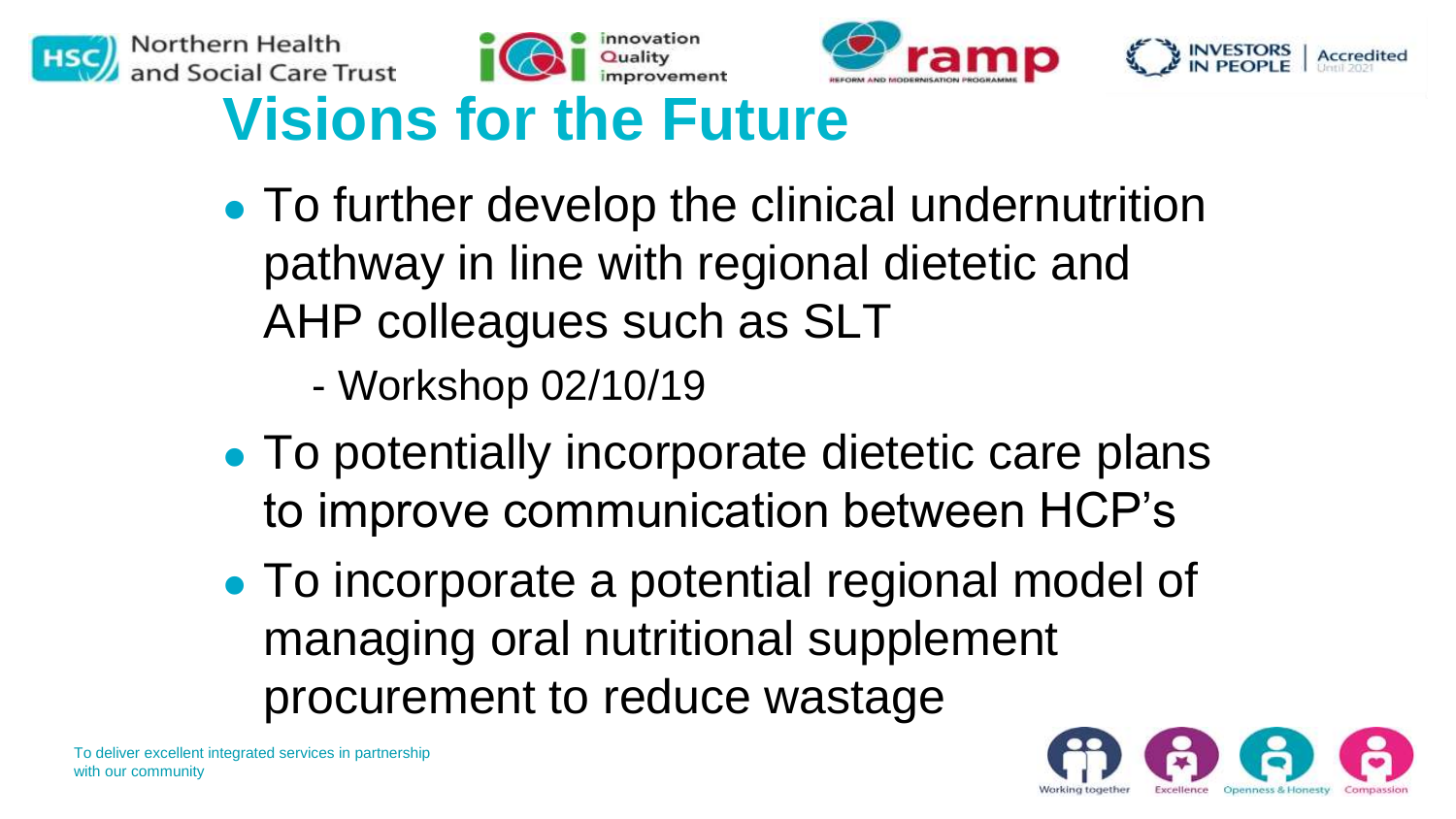







### **Visions for the Future**

- ⚫ To further develop the clinical undernutrition pathway in line with regional dietetic and AHP colleagues such as SLT
	- Workshop 02/10/19
- To potentially incorporate dietetic care plans to improve communication between HCP's
- ⚫ To incorporate a potential regional model of managing oral nutritional supplement procurement to reduce wastage

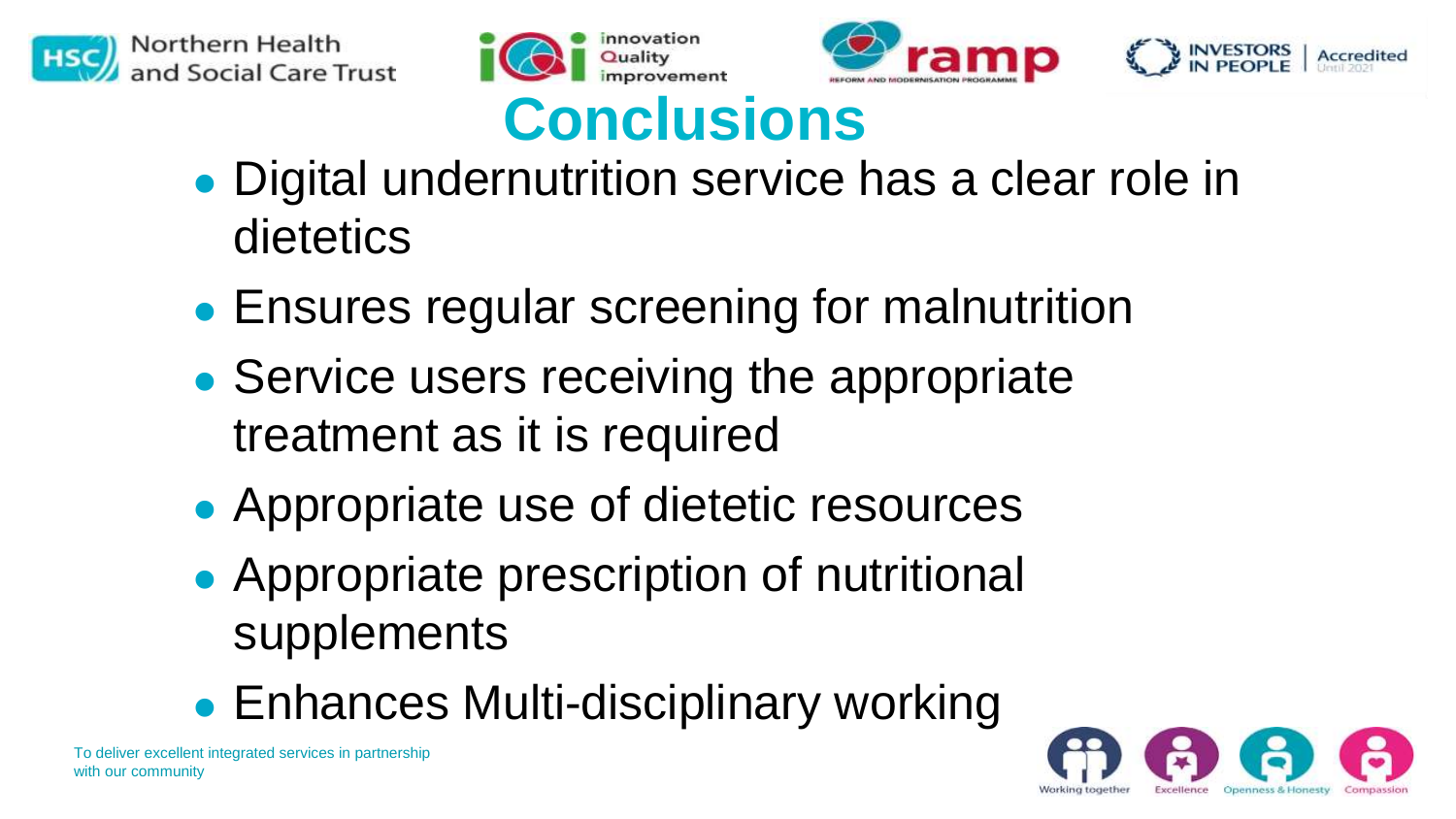







#### **Conclusions**

- ⚫ Digital undernutrition service has a clear role in dietetics
- ⚫ Ensures regular screening for malnutrition
- Service users receiving the appropriate treatment as it is required
- ⚫ Appropriate use of dietetic resources
- ⚫ Appropriate prescription of nutritional supplements
- Enhances Multi-disciplinary working